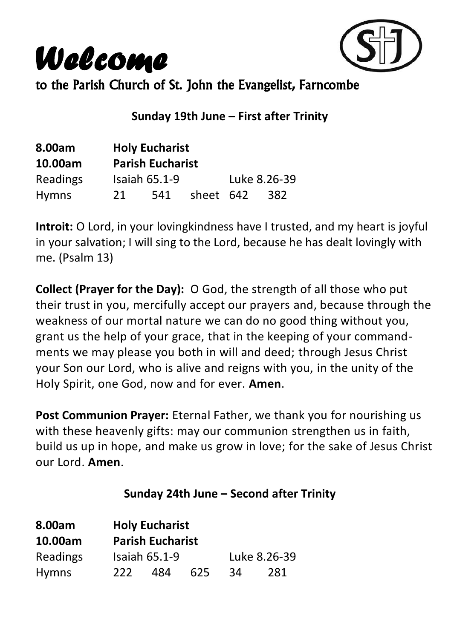*Welcome*



to the Parish Church of St. John the Evangelist, Farncombe

#### **Sunday 19th June – First after Trinity**

| 8.00am       |                         | <b>Holy Eucharist</b> |           |  |              |
|--------------|-------------------------|-----------------------|-----------|--|--------------|
| 10.00am      | <b>Parish Eucharist</b> |                       |           |  |              |
| Readings     |                         | <b>Isaiah 65.1-9</b>  |           |  | Luke 8.26-39 |
| <b>Hymns</b> | 21                      | 541                   | sheet 642 |  | 382          |

**Introit:** O Lord, in your lovingkindness have I trusted, and my heart is joyful in your salvation; I will sing to the Lord, because he has dealt lovingly with me. (Psalm 13)

**Collect (Prayer for the Day):** O God, the strength of all those who put their trust in you, mercifully accept our prayers and, because through the weakness of our mortal nature we can do no good thing without you, grant us the help of your grace, that in the keeping of your commandments we may please you both in will and deed; through Jesus Christ your Son our Lord, who is alive and reigns with you, in the unity of the Holy Spirit, one God, now and for ever. **Amen**.

**Post Communion Prayer:** Eternal Father, we thank you for nourishing us with these heavenly gifts: may our communion strengthen us in faith, build us up in hope, and make us grow in love; for the sake of Jesus Christ our Lord. **Amen**.

#### **Sunday 24th June – Second after Trinity**

| 8.00am       | <b>Holy Eucharist</b>   |               |     |    |              |
|--------------|-------------------------|---------------|-----|----|--------------|
| 10.00am      | <b>Parish Eucharist</b> |               |     |    |              |
| Readings     |                         | Isaiah 65.1-9 |     |    | Luke 8.26-39 |
| <b>Hymns</b> | -222-                   | 484           | 625 | 34 | 281          |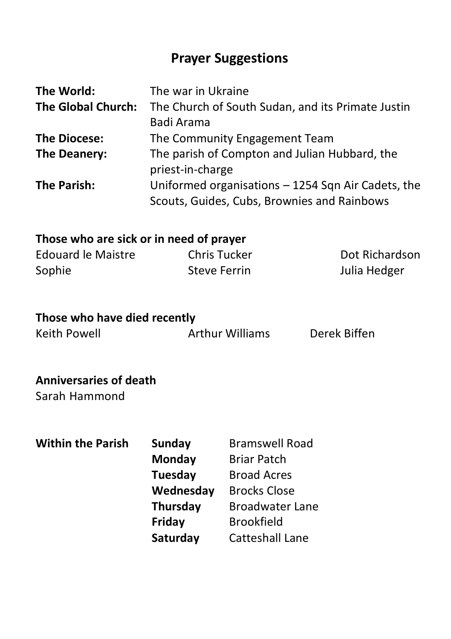## **Prayer Suggestions**

| The World:                | The war in Ukraine                                 |
|---------------------------|----------------------------------------------------|
| <b>The Global Church:</b> | The Church of South Sudan, and its Primate Justin  |
|                           | Badi Arama                                         |
| <b>The Diocese:</b>       | The Community Engagement Team                      |
| The Deanery:              | The parish of Compton and Julian Hubbard, the      |
|                           | priest-in-charge                                   |
| The Parish:               | Uniformed organisations - 1254 Sqn Air Cadets, the |
|                           | Scouts, Guides, Cubs, Brownies and Rainbows        |

#### **Those who are sick or in need of prayer**

| Edouard le Maistre | Chris Tucker | Dot Richardson |
|--------------------|--------------|----------------|
| Sophie             | Steve Ferrin | Julia Hedger   |

#### **Those who have died recently**

Keith Powell Arthur Williams Derek Biffen

#### **Anniversaries of death**

Sarah Hammond

**Within the Parish Sunday Bramswell Road Monday** Briar Patch **Tuesday** Broad Acres **Wednesday** Brocks Close **Thursday** Broadwater Lane **Friday** Brookfield **Saturday** Catteshall Lane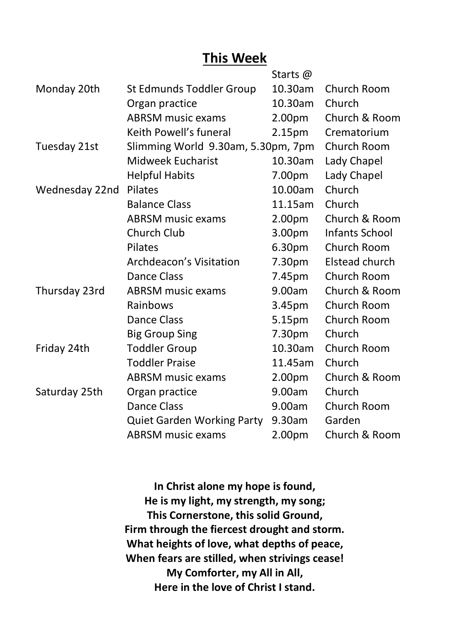## **This Week**

|                |                                    | Starts @           |                |
|----------------|------------------------------------|--------------------|----------------|
| Monday 20th    | St Edmunds Toddler Group           | 10.30am            | Church Room    |
|                | Organ practice                     | 10.30am            | Church         |
|                | <b>ABRSM music exams</b>           | 2.00 <sub>pm</sub> | Church & Room  |
|                | Keith Powell's funeral             | 2.15 <sub>pm</sub> | Crematorium    |
| Tuesday 21st   | Slimming World 9.30am, 5.30pm, 7pm |                    | Church Room    |
|                | <b>Midweek Eucharist</b>           | 10.30am            | Lady Chapel    |
|                | <b>Helpful Habits</b>              | 7.00pm             | Lady Chapel    |
| Wednesday 22nd | Pilates                            | 10.00am            | Church         |
|                | <b>Balance Class</b>               | 11.15am            | Church         |
|                | <b>ABRSM</b> music exams           | 2.00 <sub>pm</sub> | Church & Room  |
|                | Church Club                        | 3.00 <sub>pm</sub> | Infants School |
|                | Pilates                            | 6.30 <sub>pm</sub> | Church Room    |
|                | Archdeacon's Visitation            | 7.30pm             | Elstead church |
|                | Dance Class                        | 7.45pm             | Church Room    |
| Thursday 23rd  | <b>ABRSM music exams</b>           | 9.00am             | Church & Room  |
|                | Rainbows                           | 3.45pm             | Church Room    |
|                | <b>Dance Class</b>                 | 5.15pm             | Church Room    |
|                | <b>Big Group Sing</b>              | 7.30pm             | Church         |
| Friday 24th    | <b>Toddler Group</b>               | 10.30am            | Church Room    |
|                | <b>Toddler Praise</b>              | 11.45am            | Church         |
|                | <b>ABRSM</b> music exams           | 2.00pm             | Church & Room  |
| Saturday 25th  | Organ practice                     | 9.00am             | Church         |
|                | Dance Class                        | 9.00am             | Church Room    |
|                | Quiet Garden Working Party         | 9.30am             | Garden         |
|                | <b>ABRSM</b> music exams           | 2.00pm             | Church & Room  |

**In Christ alone my hope is found, He is my light, my strength, my song; This Cornerstone, this solid Ground, Firm through the fiercest drought and storm. What heights of love, what depths of peace, When fears are stilled, when strivings cease! My Comforter, my All in All, Here in the love of Christ I stand.**